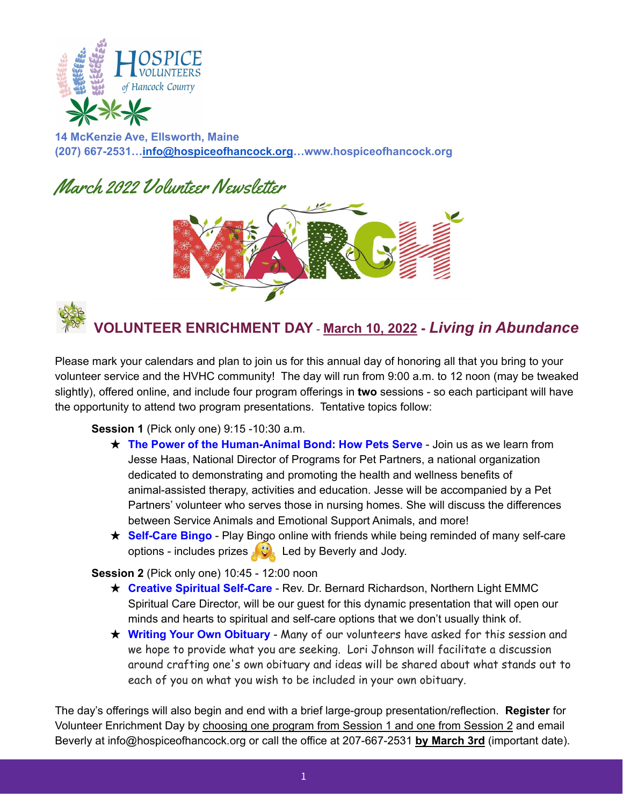



**14 McKenzie Ave, Ellsworth, Maine (207) 667-2531[…info@hospiceofhancock.org](mailto:info@hospiceofhancock.org)…www.hospiceofhancock.org**

# March 2022 Volunteer Newsletter





Please mark your calendars and plan to join us for this annual day of honoring all that you bring to your volunteer service and the HVHC community! The day will run from 9:00 a.m. to 12 noon (may be tweaked slightly), offered online, and include four program offerings in **two** sessions - so each participant will have the opportunity to attend two program presentations. Tentative topics follow:

#### **Session 1** (Pick only one) 9:15 -10:30 a.m.

- ★ **The Power of the Human-Animal Bond: How Pets Serve** Join us as we learn from Jesse Haas, National Director of Programs for Pet Partners, a national organization dedicated to demonstrating and promoting the health and wellness benefits of animal-assisted therapy, activities and education. Jesse will be accompanied by a Pet Partners' volunteer who serves those in nursing homes. She will discuss the differences between Service Animals and Emotional Support Animals, and more!
- **★ Self-Care Bingo** Play Bingo online with friends while being reminded of many self-care options - includes prizes  $\left\{ \mathcal{L} \right\}$  Led by Beverly and Jody.

#### **Session 2** (Pick only one) 10:45 - 12:00 noon

- ★ **Creative Spiritual Self-Care** Rev. Dr. Bernard Richardson, Northern Light EMMC Spiritual Care Director, will be our guest for this dynamic presentation that will open our minds and hearts to spiritual and self-care options that we don't usually think of.
- ★ **Writing Your Own Obituary** Many of our volunteers have asked for this session and we hope to provide what you are seeking. Lori Johnson will facilitate a discussion around crafting one's own obituary and ideas will be shared about what stands out to each of you on what you wish to be included in your own obituary.

The day's offerings will also begin and end with a brief large-group presentation/reflection. **Register** for Volunteer Enrichment Day by choosing one program from Session 1 and one from Session 2 and email Beverly at info@hospiceofhancock.org or call the office at 207-667-2531 **by March 3rd** (important date).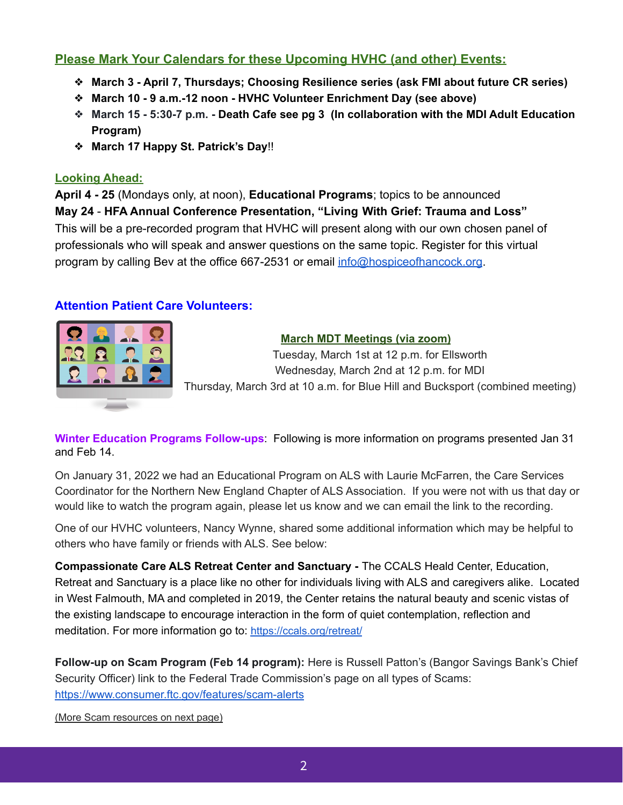## **Please Mark Your Calendars for these Upcoming HVHC (and other) Events:**

- ❖ **March 3 - April 7, Thursdays; Choosing Resilience series (ask FMI about future CR series)**
- ❖ **March 10 - 9 a.m.-12 noon - HVHC Volunteer Enrichment Day (see above)**
- ❖ **March 15 - 5:30-7 p.m. - Death Cafe see pg 3 (In collaboration with the MDI Adult Education Program)**
- ❖ **March 17 Happy St. Patrick's Day**!!

#### **Looking Ahead:**

**April 4 - 25** (Mondays only, at noon), **Educational Programs**; topics to be announced **May 24** - **HFA Annual Conference Presentation, "Living With Grief: Trauma and Loss"** This will be a pre-recorded program that HVHC will present along with our own chosen panel of professionals who will speak and answer questions on the same topic. Register for this virtual program by calling Bev at the office 667-2531 or email [info@hospiceofhancock.org](mailto:info@hospiceofhancock.org).

## **Attention Patient Care Volunteers:**

|  | <b>AIL</b> |  |
|--|------------|--|
|  | Ζ          |  |
|  | - -        |  |
|  |            |  |

#### **March MDT Meetings (via zoom)**

Tuesday, March 1st at 12 p.m. for Ellsworth Wednesday, March 2nd at 12 p.m. for MDI Thursday, March 3rd at 10 a.m. for Blue Hill and Bucksport (combined meeting)

**Winter Education Programs Follow-ups**: Following is more information on programs presented Jan 31 and Feb 14.

On January 31, 2022 we had an Educational Program on ALS with Laurie McFarren, the Care Services Coordinator for the Northern New England Chapter of ALS Association. If you were not with us that day or would like to watch the program again, please let us know and we can email the link to the recording.

One of our HVHC volunteers, Nancy Wynne, shared some additional information which may be helpful to others who have family or friends with ALS. See below:

**Compassionate Care ALS Retreat Center and Sanctuary -** The CCALS Heald Center, Education, Retreat and Sanctuary is a place like no other for individuals living with ALS and caregivers alike. Located in West Falmouth, MA and completed in 2019, the Center retains the natural beauty and scenic vistas of the existing landscape to encourage interaction in the form of quiet contemplation, reflection and meditation. For more information go to: <https://ccals.org/retreat/>

**Follow-up on Scam Program (Feb 14 program):** Here is Russell Patton's (Bangor Savings Bank's Chief Security Officer) link to the Federal Trade Commission's page on all types of Scams: <https://www.consumer.ftc.gov/features/scam-alerts>

(More Scam resources on next page)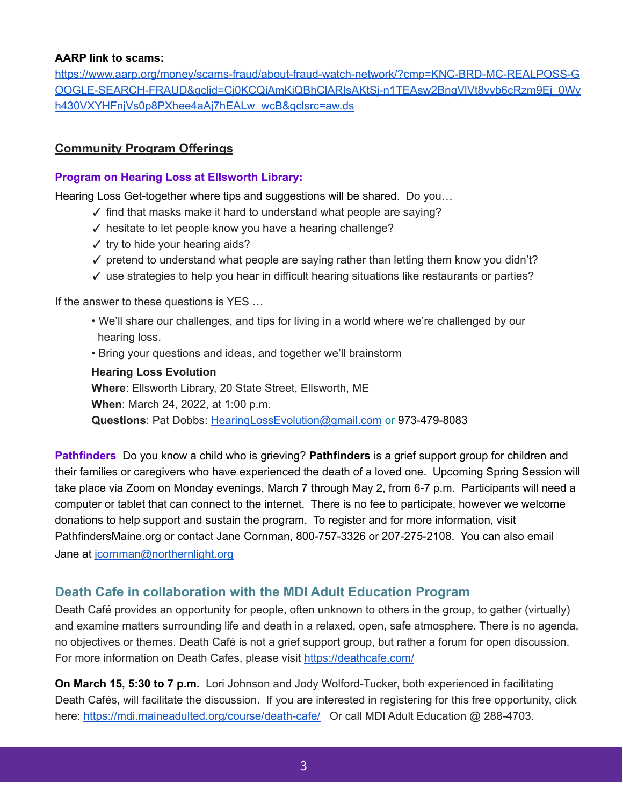#### **AARP link to scams:**

[https://www.aarp.org/money/scams-fraud/about-fraud-watch-network/?cmp=KNC-BRD-MC-REALPOSS-G](https://www.aarp.org/money/scams-fraud/about-fraud-watch-network/?cmp=KNC-BRD-MC-REALPOSS-GOOGLE-SEARCH-FRAUD&gclid=Cj0KCQiAmKiQBhClARIsAKtSj-n1TEAsw2BnqVlVt8vyb6cRzm9Ej_0Wyh430VXYHFnjVs0p8PXhee4aAj7hEALw_wcB&gclsrc=aw.ds) [OOGLE-SEARCH-FRAUD&gclid=Cj0KCQiAmKiQBhClARIsAKtSj-n1TEAsw2BnqVlVt8vyb6cRzm9Ej\\_0Wy](https://www.aarp.org/money/scams-fraud/about-fraud-watch-network/?cmp=KNC-BRD-MC-REALPOSS-GOOGLE-SEARCH-FRAUD&gclid=Cj0KCQiAmKiQBhClARIsAKtSj-n1TEAsw2BnqVlVt8vyb6cRzm9Ej_0Wyh430VXYHFnjVs0p8PXhee4aAj7hEALw_wcB&gclsrc=aw.ds) [h430VXYHFnjVs0p8PXhee4aAj7hEALw\\_wcB&gclsrc=aw.ds](https://www.aarp.org/money/scams-fraud/about-fraud-watch-network/?cmp=KNC-BRD-MC-REALPOSS-GOOGLE-SEARCH-FRAUD&gclid=Cj0KCQiAmKiQBhClARIsAKtSj-n1TEAsw2BnqVlVt8vyb6cRzm9Ej_0Wyh430VXYHFnjVs0p8PXhee4aAj7hEALw_wcB&gclsrc=aw.ds)

## **Community Program Offerings**

#### **Program on Hearing Loss at Ellsworth Library:**

Hearing Loss Get-together where tips and suggestions will be shared. Do you…

- ✓ find that masks make it hard to understand what people are saying?
- ✓ hesitate to let people know you have a hearing challenge?
- $\checkmark$  try to hide your hearing aids?
- $\checkmark$  pretend to understand what people are saying rather than letting them know you didn't?
- $\checkmark$  use strategies to help you hear in difficult hearing situations like restaurants or parties?

If the answer to these questions is YES …

- We'll share our challenges, and tips for living in a world where we're challenged by our hearing loss.
- Bring your questions and ideas, and together we'll brainstorm

**Hearing Loss Evolution Where**: Ellsworth Library, 20 State Street, Ellsworth, ME **When**: March 24, 2022, at 1:00 p.m. **Questions**: Pat Dobbs: [HearingLossEvolution@gmail.com](mailto:HearingLossEvolution@gmail.com) or 973-479-8083

**Pathfinders** Do you know a child who is grieving? **Pathfinders** is a grief support group for children and their families or caregivers who have experienced the death of a loved one. Upcoming Spring Session will take place via Zoom on Monday evenings, March 7 through May 2, from 6-7 p.m. Participants will need a computer or tablet that can connect to the internet. There is no fee to participate, however we welcome donations to help support and sustain the program. To register and for more information, visit PathfindersMaine.org or contact Jane Cornman, 800-757-3326 or 207-275-2108. You can also email Jane at [jcornman@northernlight.org](mailto:jcornman@northernlight.org)

#### **Death Cafe in collaboration with the MDI Adult Education Program**

Death Café provides an opportunity for people, often unknown to others in the group, to gather (virtually) and examine matters surrounding life and death in a relaxed, open, safe atmosphere. There is no agenda, no objectives or themes. Death Café is not a grief support group, but rather a forum for open discussion. For more information on Death Cafes, please visit <https://deathcafe.com/>

**On March 15, 5:30 to 7 p.m.** Lori Johnson and Jody Wolford-Tucker, both experienced in facilitating Death Cafés, will facilitate the discussion. If you are interested in registering for this free opportunity, click here: <https://mdi.maineadulted.org/course/death-cafe/> Or call MDI Adult Education @ 288-4703.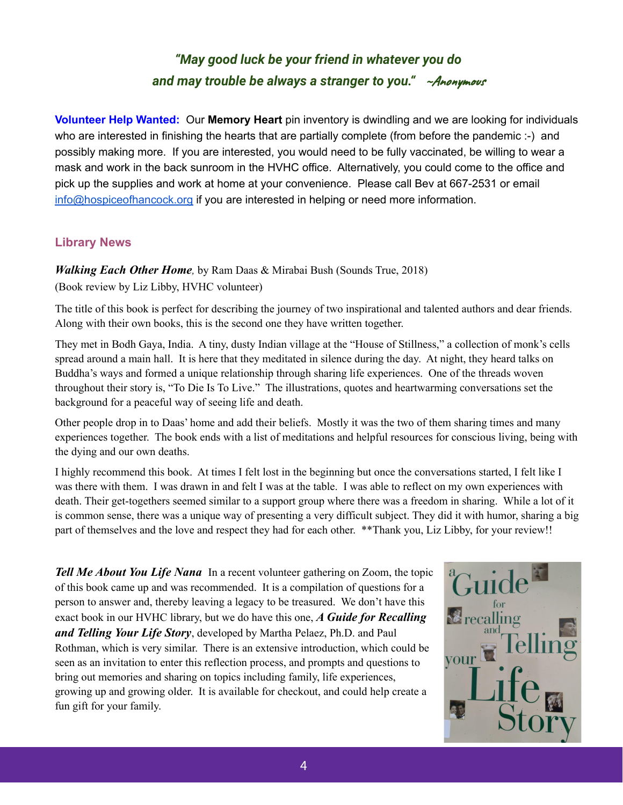## *"May good luck be your friend in whatever you do and may trouble be always a stranger to you."* ~Anonymous

**Volunteer Help Wanted:** Our **Memory Heart** pin inventory is dwindling and we are looking for individuals who are interested in finishing the hearts that are partially complete (from before the pandemic :-) and possibly making more. If you are interested, you would need to be fully vaccinated, be willing to wear a mask and work in the back sunroom in the HVHC office. Alternatively, you could come to the office and pick up the supplies and work at home at your convenience. Please call Bev at 667-2531 or email [info@hospiceofhancock.org](mailto:info@hospiceofhancock.org) if you are interested in helping or need more information.

## **Library News**

*Walking Each Other Home,* by Ram Daas & Mirabai Bush (Sounds True, 2018) (Book review by Liz Libby, HVHC volunteer)

The title of this book is perfect for describing the journey of two inspirational and talented authors and dear friends. Along with their own books, this is the second one they have written together.

They met in Bodh Gaya, India. A tiny, dusty Indian village at the "House of Stillness," a collection of monk's cells spread around a main hall. It is here that they meditated in silence during the day. At night, they heard talks on Buddha's ways and formed a unique relationship through sharing life experiences. One of the threads woven throughout their story is, "To Die Is To Live." The illustrations, quotes and heartwarming conversations set the background for a peaceful way of seeing life and death.

Other people drop in to Daas' home and add their beliefs. Mostly it was the two of them sharing times and many experiences together. The book ends with a list of meditations and helpful resources for conscious living, being with the dying and our own deaths.

I highly recommend this book. At times I felt lost in the beginning but once the conversations started, I felt like I was there with them. I was drawn in and felt I was at the table. I was able to reflect on my own experiences with death. Their get-togethers seemed similar to a support group where there was a freedom in sharing. While a lot of it is common sense, there was a unique way of presenting a very difficult subject. They did it with humor, sharing a big part of themselves and the love and respect they had for each other. \*\*Thank you, Liz Libby, for your review!!

*Tell Me About You Life Nana* In a recent volunteer gathering on Zoom, the topic of this book came up and was recommended. It is a compilation of questions for a person to answer and, thereby leaving a legacy to be treasured. We don't have this exact book in our HVHC library, but we do have this one, *A Guide for Recalling and Telling Your Life Story*, developed by Martha Pelaez, Ph.D. and Paul Rothman, which is very similar. There is an extensive introduction, which could be seen as an invitation to enter this reflection process, and prompts and questions to bring out memories and sharing on topics including family, life experiences, growing up and growing older. It is available for checkout, and could help create a fun gift for your family.

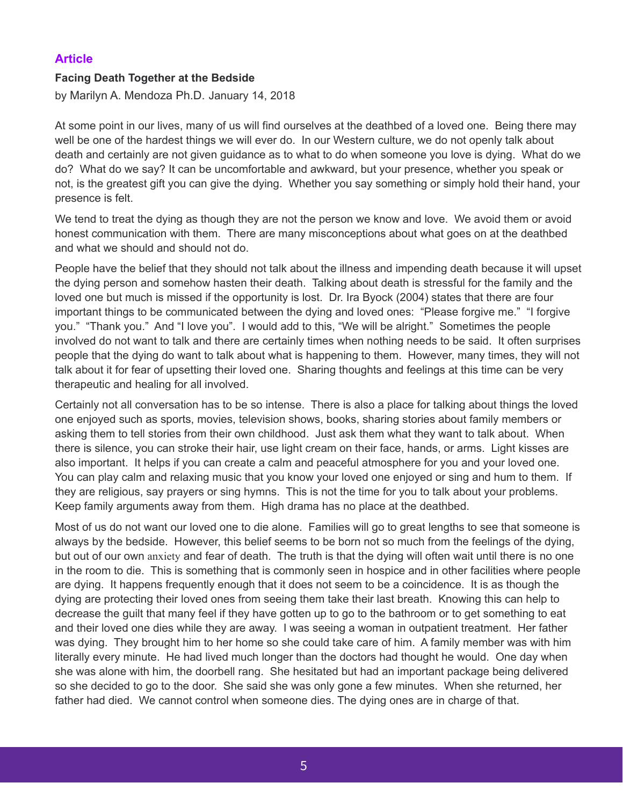## **Article**

#### **Facing Death Together at the Bedside**

by Marilyn A. [Mendoza](https://www.psychologytoday.com/us/contributors/marilyn-mendoza-phd) Ph.D. January 14, 2018

At some point in our lives, many of us will find ourselves at the deathbed of a loved one. Being there may well be one of the hardest things we will ever do. In our Western culture, we do not openly talk about death and certainly are not given guidance as to what to do when someone you love is dying. What do we do? What do we say? It can be uncomfortable and awkward, but your presence, whether you speak or not, is the greatest gift you can give the dying. Whether you say something or simply hold their hand, your presence is felt.

We tend to treat the dying as though they are not the person we know and love. We avoid them or avoid honest communication with them. There are many misconceptions about what goes on at the deathbed and what we should and should not do.

People have the belief that they should not talk about the illness and impending death because it will upset the dying person and somehow hasten their death. Talking about death is [stressful](https://www.psychologytoday.com/us/basics/stress) for the family and the loved one but much is missed if the opportunity is lost. Dr. Ira Byock (2004) states that there are four important things to be communicated between the dying and loved ones: "Please [forgive](https://www.psychologytoday.com/us/basics/forgiveness) me." "I forgive you." "Thank you." And "I love you". I would add to this, "We will be alright." Sometimes the people involved do not want to talk and there are certainly times when nothing needs to be said. It often surprises people that the dying do want to talk about what is happening to them. However, many times, they will not talk about it for [fear](https://www.psychologytoday.com/us/basics/fear) of upsetting their loved one. Sharing thoughts and feelings at this time can be very therapeutic and healing for all involved.

Certainly not all conversation has to be so intense. There is also a place for talking about things the loved one enjoyed such as sports, movies, television shows, books, sharing stories about family members or asking them to tell stories from their own [childhood.](https://www.psychologytoday.com/us/basics/child-development) Just ask them what they want to talk about. When there is silence, you can stroke their hair, use light cream on their face, hands, or arms. Light kisses are also important. It helps if you can create a calm and peaceful atmosphere for you and your loved one. You can play calm and relaxing music that you know your loved one enjoyed or sing and hum to them. If they are religious, say prayers or sing hymns. This is not the time for you to talk about your problems. Keep family arguments away from them. High drama has no place at the deathbed.

Most of us do not want our loved one to die alone. Families will go to great lengths to see that someone is always by the bedside. However, this belief seems to be born not so much from the feelings of the dying, but out of our own [anxiety](https://www.psychologytoday.com/us/basics/anxiety) and fear of death. The truth is that the dying will often wait until there is no one in the room to die. This is something that is commonly seen in hospice and in other facilities where people are dying. It happens frequently enough that it does not seem to be a coincidence. It is as though the dying are protecting their loved ones from seeing them take their last breath. Knowing this can help to decrease the [guilt](https://www.psychologytoday.com/us/basics/guilt) that many feel if they have gotten up to go to the bathroom or to get something to eat and their loved one dies while they are away. I was seeing a woman in outpatient treatment. Her father was dying. They brought him to her home so she could take care of him. A family member was with him literally every minute. He had lived much longer than the doctors had thought he would. One day when she was alone with him, the doorbell rang. She hesitated but had an important package being delivered so she decided to go to the door. She said she was only gone a few minutes. When she returned, her father had died. We cannot control when someone dies. The dying ones are in charge of that.